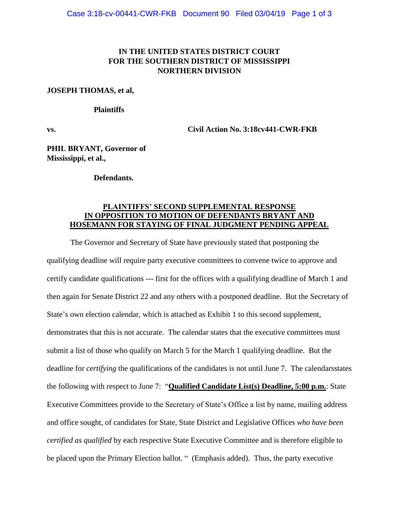## **IN THE UNITED STATES DISTRICT COURT FOR THE SOUTHERN DISTRICT OF MISSISSIPPI NORTHERN DIVISION**

#### **JOSEPH THOMAS, et al,**

#### **Plaintiffs**

**vs. Civil Action No. 3:18cv441-CWR-FKB**

**PHIL BRYANT, Governor of Mississippi, et al.,**

**Defendants.**

### **PLAINTIFFS' SECOND SUPPLEMENTAL RESPONSE IN OPPOSITION TO MOTION OF DEFENDANTS BRYANT AND HOSEMANN FOR STAYING OF FINAL JUDGMENT PENDING APPEAL**

The Governor and Secretary of State have previously stated that postponing the qualifying deadline will require party executive committees to convene twice to approve and certify candidate qualifications --- first for the offices with a qualifying deadline of March 1 and then again for Senate District 22 and any others with a postponed deadline. But the Secretary of State's own election calendar, which is attached as Exhibit 1 to this second supplement, demonstrates that this is not accurate. The calendar states that the executive committees must submit a list of those who qualify on March 5 for the March 1 qualifying deadline. But the deadline for *certifying* the qualifications of the candidates is not until June 7. The calendarsstates the following with respect to June 7: "**Qualified Candidate List(s) Deadline, 5:00 p.m.**: State Executive Committees provide to the Secretary of State's Office a list by name, mailing address and office sought, of candidates for State, State District and Legislative Offices *who have been certified as qualified* by each respective State Executive Committee and is therefore eligible to be placed upon the Primary Election ballot. " (Emphasis added). Thus, the party executive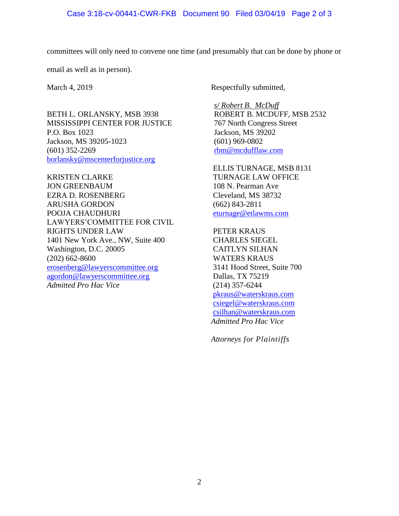committees will only need to convene one time (and presumably that can be done by phone or

email as well as in person).

BETH L. ORLANSKY, MSB 3938 MISSISSIPPI CENTER FOR JUSTICE P.O. Box 1023 Jackson, MS 39205-1023 (601) 352-2269 [borlansky@mscenterforjustice.org](mailto:borlansky@mscenterforjustice.org)

KRISTEN CLARKE JON GREENBAUM EZRA D. ROSENBERG ARUSHA GORDON POOJA CHAUDHURI LAWYERS'COMMITTEE FOR CIVIL RIGHTS UNDER LAW 1401 New York Ave., NW, Suite 400 Washington, D.C. 20005 (202) 662-8600 [erosenberg@lawyerscommittee.org](mailto:erosenberg@lawyerscommittee.org) [agordon@lawyerscommittee.org](mailto:agordon@lawyerscommittee.org) *Admitted Pro Hac Vice*

March 4, 2019 Respectfully submitted,

*s/ Robert B. McDuff* ROBERT B. MCDUFF, MSB 2532 767 North Congress Street Jackson, MS 39202 (601) 969-0802 [rbm@mcdufflaw.com](mailto:rbm@mcdufflaw.com)

ELLIS TURNAGE, MSB 8131 TURNAGE LAW OFFICE 108 N. Pearman Ave Cleveland, MS 38732 (662) 843-2811 [eturnage@etlawms.com](mailto:eturnage@etlawms.com)

PETER KRAUS CHARLES SIEGEL CAITLYN SILHAN WATERS KRAUS 3141 Hood Street, Suite 700 Dallas, TX 75219 (214) 357-6244 [pkraus@waterskraus.com](mailto:pkraus@waterskraus.com) [csiegel@waterskraus.com](mailto:csiegel@waterskraus.com) [csilhan@waterskraus.com](mailto:csilhan@waterskraus.com) *Admitted Pro Hac Vice*

*Attorneys for Plaintiffs*